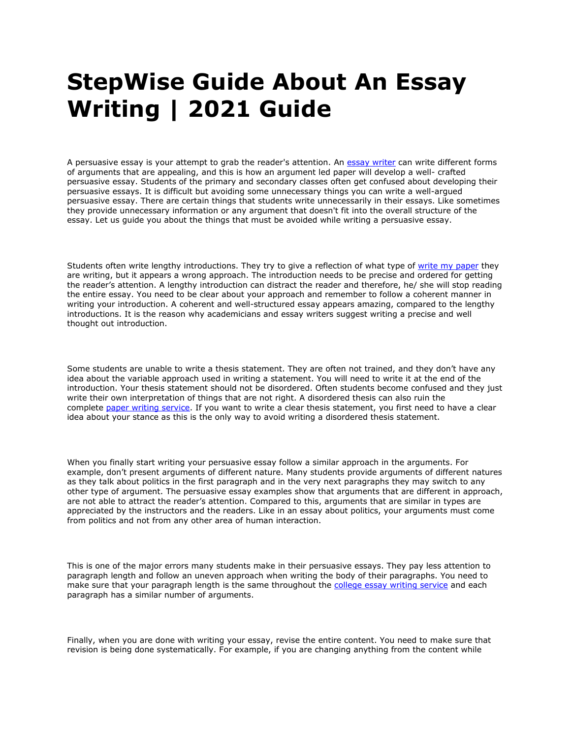## **StepWise Guide About An Essay Writing | 2021 Guide**

A persuasive essay is your attempt to grab the reader's attention. An [essay writer](https://www.freeessaywriter.net/) can write different forms of arguments that are appealing, and this is how an argument led paper will develop a well- crafted persuasive essay. Students of the primary and secondary classes often get confused about developing their persuasive essays. It is difficult but avoiding some unnecessary things you can write a well-argued persuasive essay. There are certain things that students write unnecessarily in their essays. Like sometimes they provide unnecessary information or any argument that doesn't fit into the overall structure of the essay. Let us guide you about the things that must be avoided while writing a persuasive essay.

Students often write lengthy introductions. They try to give a reflection of what type of [write my paper](https://www.freeessaywriter.net/) they are writing, but it appears a wrong approach. The introduction needs to be precise and ordered for getting the reader's attention. A lengthy introduction can distract the reader and therefore, he/ she will stop reading the entire essay. You need to be clear about your approach and remember to follow a coherent manner in writing your introduction. A coherent and well-structured essay appears amazing, compared to the lengthy introductions. It is the reason why academicians and essay writers suggest writing a precise and well thought out introduction.

Some students are unable to write a thesis statement. They are often not trained, and they don't have any idea about the variable approach used in writing a statement. You will need to write it at the end of the introduction. Your thesis statement should not be disordered. Often students become confused and they just write their own interpretation of things that are not right. A disordered thesis can also ruin the complete [paper writing service.](https://www.freeessaywriter.net/) If you want to write a clear thesis statement, you first need to have a clear idea about your stance as this is the only way to avoid writing a disordered thesis statement.

When you finally start writing your persuasive essay follow a similar approach in the arguments. For example, don't present arguments of different nature. Many students provide arguments of different natures as they talk about politics in the first paragraph and in the very next paragraphs they may switch to any other type of argument. The persuasive essay examples show that arguments that are different in approach, are not able to attract the reader's attention. Compared to this, arguments that are similar in types are appreciated by the instructors and the readers. Like in an essay about politics, your arguments must come from politics and not from any other area of human interaction.

This is one of the major errors many students make in their persuasive essays. They pay less attention to paragraph length and follow an uneven approach when writing the body of their paragraphs. You need to make sure that your paragraph length is the same throughout the [college essay writing service](https://www.collegeessay.org/) and each paragraph has a similar number of arguments.

Finally, when you are done with writing your essay, revise the entire content. You need to make sure that revision is being done systematically. For example, if you are changing anything from the content while